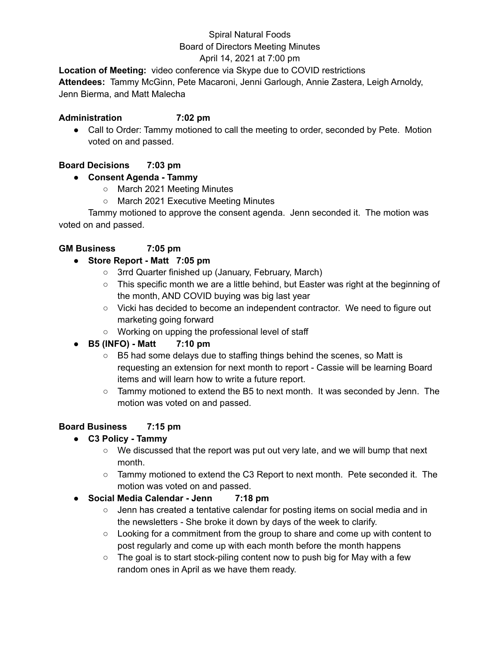# Spiral Natural Foods Board of Directors Meeting Minutes

# April 14, 2021 at 7:00 pm

**Location of Meeting:** video conference via Skype due to COVID restrictions **Attendees:** Tammy McGinn, Pete Macaroni, Jenni Garlough, Annie Zastera, Leigh Arnoldy, Jenn Bierma, and Matt Malecha

#### **Administration 7:02 pm**

• Call to Order: Tammy motioned to call the meeting to order, seconded by Pete. Motion voted on and passed.

#### **Board Decisions 7:03 pm**

#### **● Consent Agenda - Tammy**

- March 2021 Meeting Minutes
- March 2021 Executive Meeting Minutes

Tammy motioned to approve the consent agenda. Jenn seconded it. The motion was voted on and passed.

#### **GM Business 7:05 pm**

#### **● Store Report - Matt 7:05 pm**

- 3rrd Quarter finished up (January, February, March)
- This specific month we are a little behind, but Easter was right at the beginning of the month, AND COVID buying was big last year
- Vicki has decided to become an independent contractor. We need to figure out marketing going forward
- Working on upping the professional level of staff

## **● B5 (INFO) - Matt 7:10 pm**

- B5 had some delays due to staffing things behind the scenes, so Matt is requesting an extension for next month to report - Cassie will be learning Board items and will learn how to write a future report.
- Tammy motioned to extend the B5 to next month. It was seconded by Jenn. The motion was voted on and passed.

#### **Board Business 7:15 pm**

- **● C3 Policy - Tammy**
	- We discussed that the report was put out very late, and we will bump that next month.
	- $\circ$  Tammy motioned to extend the C3 Report to next month. Pete seconded it. The motion was voted on and passed.
- **● Social Media Calendar - Jenn 7:18 pm**
	- Jenn has created a tentative calendar for posting items on social media and in the newsletters - She broke it down by days of the week to clarify.
	- Looking for a commitment from the group to share and come up with content to post regularly and come up with each month before the month happens
	- The goal is to start stock-piling content now to push big for May with a few random ones in April as we have them ready.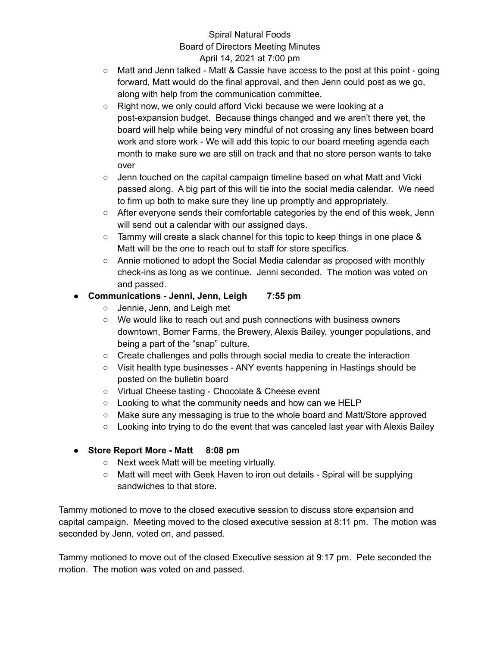#### Spiral Natural Foods Board of Directors Meeting Minutes April 14, 2021 at 7:00 pm

- $\circ$  Matt and Jenn talked Matt & Cassie have access to the post at this point going forward, Matt would do the final approval, and then Jenn could post as we go, along with help from the communication committee.
- Right now, we only could afford Vicki because we were looking at a post-expansion budget. Because things changed and we aren't there yet, the board will help while being very mindful of not crossing any lines between board work and store work - We will add this topic to our board meeting agenda each month to make sure we are still on track and that no store person wants to take over
- $\circ$  Jenn touched on the capital campaign timeline based on what Matt and Vicki passed along. A big part of this will tie into the social media calendar. We need to firm up both to make sure they line up promptly and appropriately.
- $\circ$  After everyone sends their comfortable categories by the end of this week, Jenn will send out a calendar with our assigned days.
- Tammy will create a slack channel for this topic to keep things in one place & Matt will be the one to reach out to staff for store specifics.
- Annie motioned to adopt the Social Media calendar as proposed with monthly check-ins as long as we continue. Jenni seconded. The motion was voted on and passed.

# **● Communications - Jenni, Jenn, Leigh 7:55 pm**

- Jennie, Jenn, and Leigh met
- We would like to reach out and push connections with business owners downtown, Borner Farms, the Brewery, Alexis Bailey, younger populations, and being a part of the "snap" culture.
- $\circ$  Create challenges and polls through social media to create the interaction
- Visit health type businesses ANY events happening in Hastings should be posted on the bulletin board
- Virtual Cheese tasting Chocolate & Cheese event
- Looking to what the community needs and how can we HELP
- Make sure any messaging is true to the whole board and Matt/Store approved
- Looking into trying to do the event that was canceled last year with Alexis Bailey

## **● Store Report More - Matt 8:08 pm**

- Next week Matt will be meeting virtually.
- Matt will meet with Geek Haven to iron out details Spiral will be supplying sandwiches to that store.

Tammy motioned to move to the closed executive session to discuss store expansion and capital campaign. Meeting moved to the closed executive session at 8:11 pm. The motion was seconded by Jenn, voted on, and passed.

Tammy motioned to move out of the closed Executive session at 9:17 pm. Pete seconded the motion. The motion was voted on and passed.